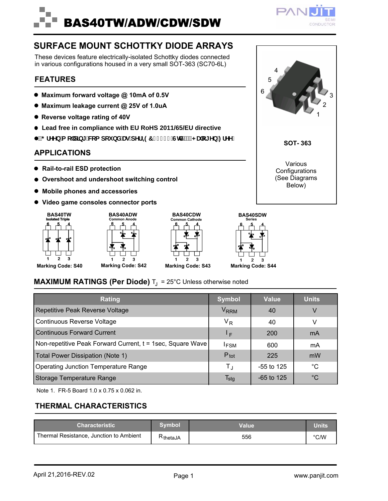# BAS40TW/ADW/CDW/SDW



# **SURFACE MOUNT SCHOTTKY DIODE ARRAYS**

These devices feature electrically-isolated Schottky diodes connected in various configurations housed in a very small SOT-363 (SC70-6L)

#### **FEATURES**

- **Maximum forward voltage @ 10mA of 0.5V**
- **Maximum leakage current @ 25V of 1.0uA**
- **Reverse voltage rating of 40V**
- **Lead free in compliance with EU RoHS 2011/65/EU directive**
- **\***"; fYYb'a c`XJb[ 'Wta dci bX'Ug'dYf'-97 \*%&( 'GhX""fk Uc[ Yb': fYYL

#### **APPLICATIONS**

- **Rail-to-rail ESD protection**
- **Overshoot and undershoot switching control**
- **Mobile phones and accessories**
- **Video game consoles connector ports**







 $\overline{2}$ 

### **MAXIMUM RATINGS (Per Diode)** T<sub>J</sub> = 25°C Unless otherwise noted

| Rating                                                     | <b>Symbol</b>           | <b>Value</b> | <b>Units</b> |
|------------------------------------------------------------|-------------------------|--------------|--------------|
| Repetitive Peak Reverse Voltage                            | V <sub>RRM</sub>        | 40           |              |
| Continuous Reverse Voltage                                 | $V_R$                   | 40           | V            |
| Continuous Forward Current                                 | ۱ <sub>F</sub>          | 200          | mA           |
| Non-repetitive Peak Forward Current, t = 1sec, Square Wave | I <sub>FSM</sub>        | 600          | mA           |
| Total Power Dissipation (Note 1)                           | $P_{\text{tot}}$        | 225          | mW           |
| Operating Junction Temperature Range                       | $\mathsf{T}_\mathsf{J}$ | $-55$ to 125 | $^{\circ}C$  |
| Storage Temperature Range                                  | $T_{\text{stg}}$        | $-65$ to 125 | $^{\circ}C$  |

Note 1. FR-5 Board 1.0 x 0.75 x 0.062 in.

#### **THERMAL CHARACTERISTICS**

| <b>Characteristic</b>                   | <b>Symbol</b> | Value | <b>Units</b>  |
|-----------------------------------------|---------------|-------|---------------|
| Thermal Resistance, Junction to Ambient | KthetaJA      | 556   | $\degree$ C/W |



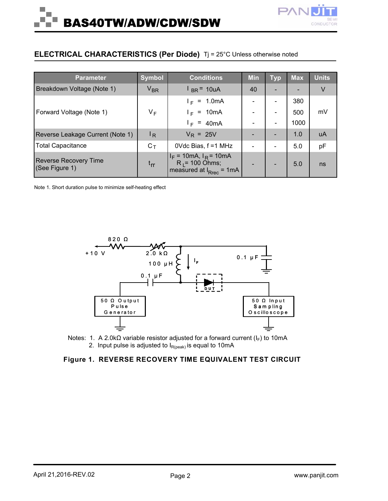

#### **ELECTRICAL CHARACTERISTICS (Per Diode)** Tj = 25°C Unless otherwise noted

| <b>Parameter</b>                               | <b>Symbol</b>             | <b>Conditions</b>                                                                      | <b>Min</b> | <b>Typ</b>                   | <b>Max</b> | <b>Units</b> |
|------------------------------------------------|---------------------------|----------------------------------------------------------------------------------------|------------|------------------------------|------------|--------------|
| Breakdown Voltage (Note 1)                     | $V_{BR}$                  | $I_{BR}$ = 10uA                                                                        | 40         |                              |            | V            |
|                                                |                           | $I_F = 1.0 \text{mA}$                                                                  |            | $\blacksquare$               | 380        |              |
| Forward Voltage (Note 1)                       | V <sub>F</sub>            | $I_F = 10mA$                                                                           |            |                              | 500        | mV           |
|                                                |                           | $I_F = 40mA$                                                                           |            | $\qquad \qquad \blacksquare$ | 1000       |              |
| Reverse Leakage Current (Note 1)               | $\mathsf{I}_{\mathsf{R}}$ | $V_R = 25V$                                                                            |            |                              | 1.0        | uA           |
| Total Capacitance                              | $C_T$                     | OVdc Bias, f = 1 MHz                                                                   |            |                              | 5.0        | pF           |
| <b>Reverse Recovery Time</b><br>(See Figure 1) | $t_{rr}$                  | $I_F$ = 10mA, $I_R$ = 10mA<br>$R_1$ = 100 Ohms;<br>measured at $I_{\text{Rrec}}$ = 1mA |            |                              | 5.0        | ns           |

Note 1. Short duration pulse to minimize self-heating effect



2. Input pulse is adjusted to  $I_{R(peak)}$  is equal to 10mA

#### **Figure 1. REVERSE RECOVERY TIME EQUIVALENT TEST CIRCUIT**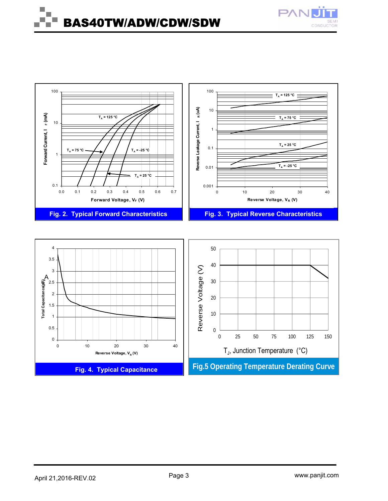





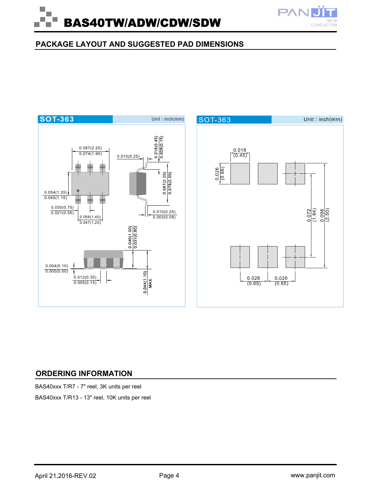

#### **PACKAGE LAYOUT AND SUGGESTED PAD DIMENSIONS**



#### **ORDERING INFORMATION**

BAS40xxx T/R7 - 7" reel, 3K units per reel

BAS40xxx T/R13 - 13" reel, 10K units per reel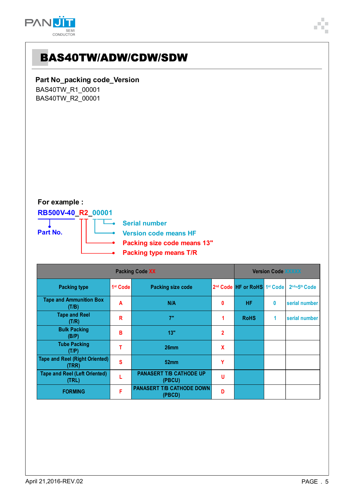

**Part No\_packing code\_Version** BAS40TW\_R1\_00001 BAS40TW\_R2\_00001

## **For example :**

## **RB500V-40\_R2\_00001**



| <b>Packing Code XX</b>                         |                      |                                            |              | <b>Version Code XXXXX</b>                            |   |               |
|------------------------------------------------|----------------------|--------------------------------------------|--------------|------------------------------------------------------|---|---------------|
| <b>Packing type</b>                            | 1 <sup>st</sup> Code | <b>Packing size code</b>                   |              | 2 <sup>nd</sup> Code HF or RoHS 1 <sup>st</sup> Code |   | 2nd~5th Code  |
| <b>Tape and Ammunition Box</b><br>(T/B)        | A                    | N/A                                        | 0            | <b>HF</b>                                            | 0 | serial number |
| <b>Tape and Reel</b><br>(T/R)                  | R                    | 7"                                         |              | <b>RoHS</b>                                          | 1 | serial number |
| <b>Bulk Packing</b><br>(B/P)                   | в                    | 13"                                        | $\mathbf{2}$ |                                                      |   |               |
| <b>Tube Packing</b><br>(T/P)                   | т                    | 26mm                                       | X            |                                                      |   |               |
| <b>Tape and Reel (Right Oriented)</b><br>(TRR) | S                    | 52 <sub>mm</sub>                           | Υ            |                                                      |   |               |
| <b>Tape and Reel (Left Oriented)</b><br>(TRL)  |                      | <b>PANASERT T/B CATHODE UP</b><br>(PBCU)   | u            |                                                      |   |               |
| <b>FORMING</b>                                 | F                    | <b>PANASERT T/B CATHODE DOWN</b><br>(PBCD) | D            |                                                      |   |               |